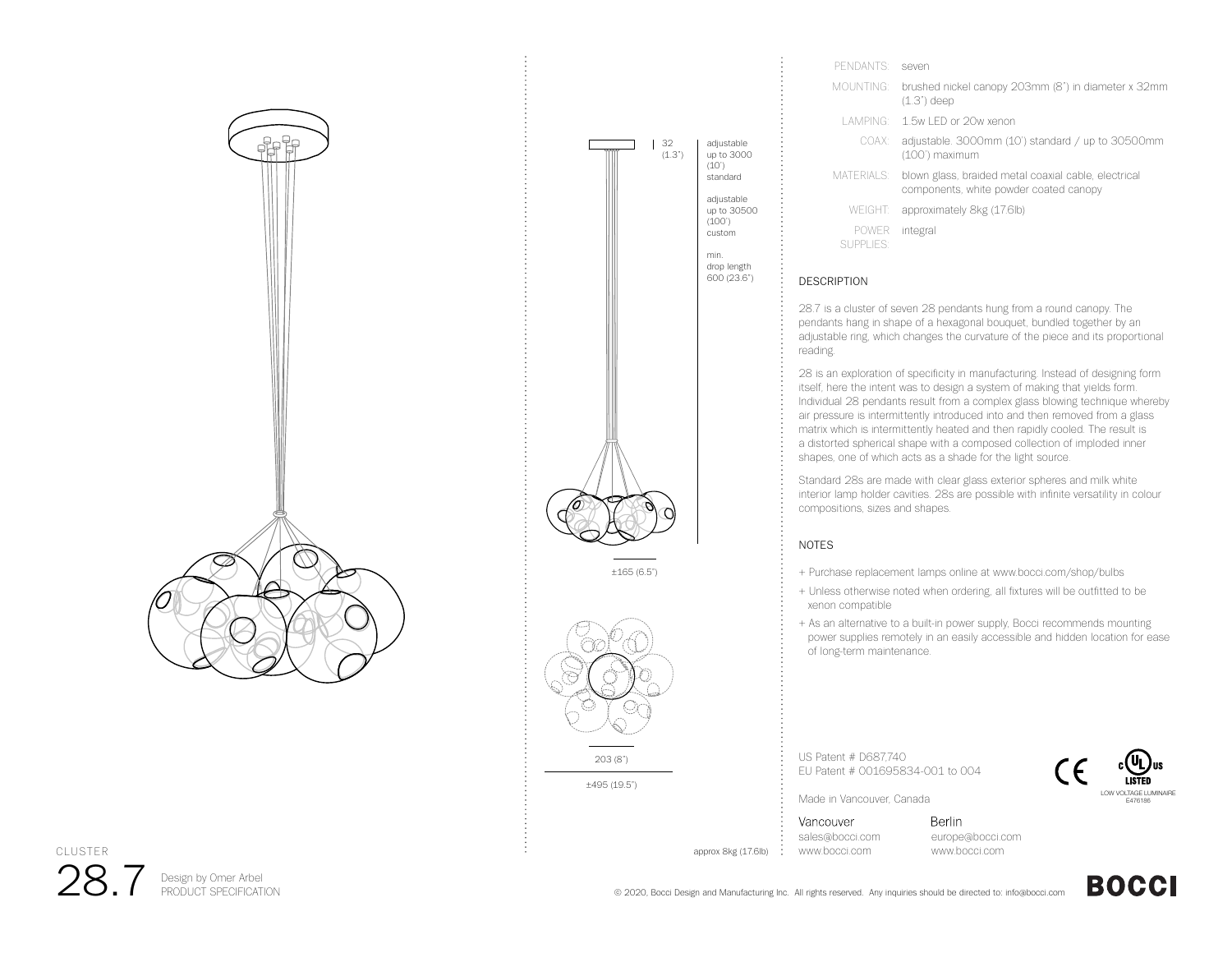

28.7

CLUSTER

**PERIGE ARE ARRY OF A STAR AT A PRODUCT SPECIFICATION** 



±495 (19.5")

| PENDANTS:                 | seven                                                                                          |
|---------------------------|------------------------------------------------------------------------------------------------|
| MOUNTING:                 | brushed nickel canopy 203mm (8") in diameter x 32mm<br>$(1.3")$ deep                           |
|                           | LAMPING: 1.5w LED or 20w xenon                                                                 |
| COAX:                     | adjustable. 3000mm (10') standard / up to 30500mm<br>(100') maximum                            |
| <b>MATERIALS:</b>         | blown glass, braided metal coaxial cable, electrical<br>components, white powder coated canopy |
| <b>WEIGHT:</b>            | approximately 8kg (17.6lb)                                                                     |
| <b>POWER</b><br>SUPPLIES: | integral                                                                                       |

## DESCRIPTION

28.7 is a cluster of seven 28 pendants hung from a round canopy. The pendants hang in shape of a hexagonal bouquet, bundled together by an adjustable ring, which changes the curvature of the piece and its proportional reading.

28 is an exploration of specificity in manufacturing. Instead of designing form itself, here the intent was to design a system of making that yields form. Individual 28 pendants result from a complex glass blowing technique whereby air pressure is intermittently introduced into and then removed from a glass matrix which is intermittently heated and then rapidly cooled. The result is a distorted spherical shape with a composed collection of imploded inner shapes, one of which acts as a shade for the light source.

Standard 28s are made with clear glass exterior spheres and milk white interior lamp holder cavities. 28s are possible with infinite versatility in colour compositions, sizes and shapes.

## NOTES

- + Purchase replacement lamps online at www.bocci.com/shop/bulbs
- + Unless otherwise noted when ordering, all fixtures will be outfitted to be xenon compatible
- + As an alternative to a built-in power supply, Bocci recommends mounting power supplies remotely in an easily accessible and hidden location for ease of long-term maintenance.

US Patent # D687,740 EU Patent # 001695834-001 to 004



Made in Vancouver, Canada

Vancouver sales@bocci.com www.bocci.com

approx 8kg (17.6lb)

**Berlin** europe@bocci.com www.bocci.com



**BOCCI**